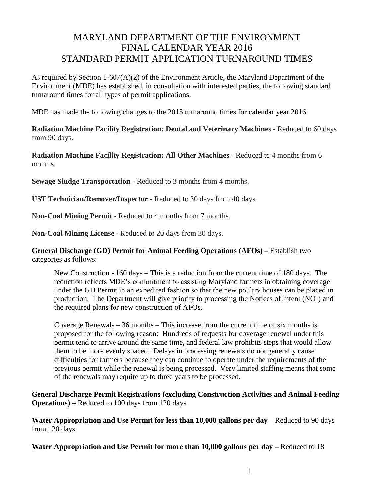## MARYLAND DEPARTMENT OF THE ENVIRONMENT FINAL CALENDAR YEAR 2016 STANDARD PERMIT APPLICATION TURNAROUND TIMES

As required by Section 1-607(A)(2) of the Environment Article, the Maryland Department of the Environment (MDE) has established, in consultation with interested parties, the following standard turnaround times for all types of permit applications.

MDE has made the following changes to the 2015 turnaround times for calendar year 2016.

**Radiation Machine Facility Registration: Dental and Veterinary Machines** - Reduced to 60 days from 90 days.

**Radiation Machine Facility Registration: All Other Machines** - Reduced to 4 months from 6 months.

**Sewage Sludge Transportation** - Reduced to 3 months from 4 months.

**UST Technician/Remover/Inspector** - Reduced to 30 days from 40 days.

**Non-Coal Mining Permit** - Reduced to 4 months from 7 months.

**Non-Coal Mining License** - Reduced to 20 days from 30 days.

**General Discharge (GD) Permit for Animal Feeding Operations (AFOs) –** Establish two categories as follows:

New Construction - 160 days – This is a reduction from the current time of 180 days. The reduction reflects MDE's commitment to assisting Maryland farmers in obtaining coverage under the GD Permit in an expedited fashion so that the new poultry houses can be placed in production. The Department will give priority to processing the Notices of Intent (NOI) and the required plans for new construction of AFOs.

Coverage Renewals – 36 months – This increase from the current time of six months is proposed for the following reason: Hundreds of requests for coverage renewal under this permit tend to arrive around the same time, and federal law prohibits steps that would allow them to be more evenly spaced. Delays in processing renewals do not generally cause difficulties for farmers because they can continue to operate under the requirements of the previous permit while the renewal is being processed. Very limited staffing means that some of the renewals may require up to three years to be processed.

**General Discharge Permit Registrations (excluding Construction Activities and Animal Feeding Operations) –** Reduced to 100 days from 120 days

**Water Appropriation and Use Permit for less than 10,000 gallons per day –** Reduced to 90 days from 120 days

**Water Appropriation and Use Permit for more than 10,000 gallons per day –** Reduced to 18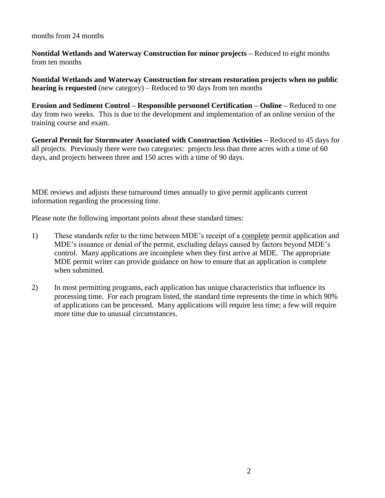months from 24 months

**Nontidal Wetlands and Waterway Construction for minor projects –** Reduced to eight months from ten months

**Nontidal Wetlands and Waterway Construction for stream restoration projects when no public hearing is requested** (new category) – Reduced to 90 days from ten months

**Erosion and Sediment Control – Responsible personnel Certification – Online –** Reduced to one day from two weeks. This is due to the development and implementation of an online version of the training course and exam.

**General Permit for Stormwater Associated with Construction Activities –** Reduced to 45 days for all projects. Previously there were two categories: projects less than three acres with a time of 60 days, and projects between three and 150 acres with a time of 90 days.

MDE reviews and adjusts these turnaround times annually to give permit applicants current information regarding the processing time.

Please note the following important points about these standard times:

- 1) These standards refer to the time between MDE's receipt of a complete permit application and MDE's issuance or denial of the permit, excluding delays caused by factors beyond MDE's control. Many applications are incomplete when they first arrive at MDE. The appropriate MDE permit writer can provide guidance on how to ensure that an application is complete when submitted.
- 2) In most permitting programs, each application has unique characteristics that influence its processing time. For each program listed, the standard time represents the time in which 90% of applications can be processed. Many applications will require less time; a few will require more time due to unusual circumstances.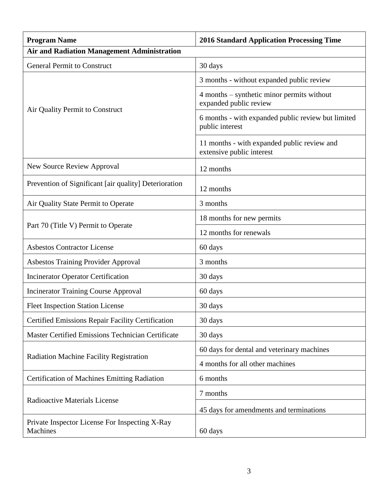| <b>Program Name</b>                                        | <b>2016 Standard Application Processing Time</b>                         |
|------------------------------------------------------------|--------------------------------------------------------------------------|
| <b>Air and Radiation Management Administration</b>         |                                                                          |
| <b>General Permit to Construct</b>                         | 30 days                                                                  |
| Air Quality Permit to Construct                            | 3 months - without expanded public review                                |
|                                                            | 4 months – synthetic minor permits without<br>expanded public review     |
|                                                            | 6 months - with expanded public review but limited<br>public interest    |
|                                                            | 11 months - with expanded public review and<br>extensive public interest |
| <b>New Source Review Approval</b>                          | 12 months                                                                |
| Prevention of Significant [air quality] Deterioration      | 12 months                                                                |
| Air Quality State Permit to Operate                        | 3 months                                                                 |
|                                                            | 18 months for new permits                                                |
| Part 70 (Title V) Permit to Operate                        | 12 months for renewals                                                   |
| <b>Asbestos Contractor License</b>                         | 60 days                                                                  |
| <b>Asbestos Training Provider Approval</b>                 | 3 months                                                                 |
| <b>Incinerator Operator Certification</b>                  | 30 days                                                                  |
| <b>Incinerator Training Course Approval</b>                | 60 days                                                                  |
| <b>Fleet Inspection Station License</b>                    | 30 days                                                                  |
| Certified Emissions Repair Facility Certification          | 30 days                                                                  |
| Master Certified Emissions Technician Certificate          | 30 days                                                                  |
| <b>Radiation Machine Facility Registration</b>             | 60 days for dental and veterinary machines                               |
|                                                            | 4 months for all other machines                                          |
| <b>Certification of Machines Emitting Radiation</b>        | 6 months                                                                 |
| <b>Radioactive Materials License</b>                       | 7 months                                                                 |
|                                                            | 45 days for amendments and terminations                                  |
| Private Inspector License For Inspecting X-Ray<br>Machines | 60 days                                                                  |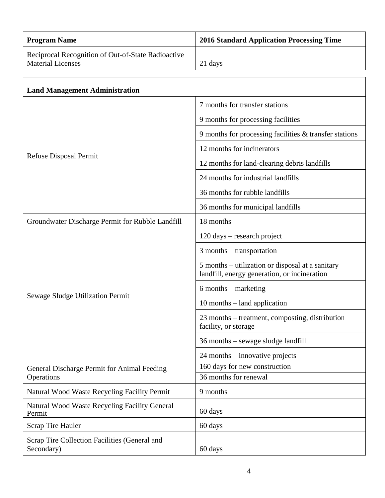| <b>Program Name</b>                                                            | <b>2016 Standard Application Processing Time</b>                                                 |
|--------------------------------------------------------------------------------|--------------------------------------------------------------------------------------------------|
| Reciprocal Recognition of Out-of-State Radioactive<br><b>Material Licenses</b> | 21 days                                                                                          |
|                                                                                |                                                                                                  |
| <b>Land Management Administration</b>                                          |                                                                                                  |
| Refuse Disposal Permit                                                         | 7 months for transfer stations                                                                   |
|                                                                                | 9 months for processing facilities                                                               |
|                                                                                | 9 months for processing facilities $\&$ transfer stations                                        |
|                                                                                | 12 months for incinerators                                                                       |
|                                                                                | 12 months for land-clearing debris landfills                                                     |
|                                                                                | 24 months for industrial landfills                                                               |
|                                                                                | 36 months for rubble landfills                                                                   |
|                                                                                | 36 months for municipal landfills                                                                |
| Groundwater Discharge Permit for Rubble Landfill                               | 18 months                                                                                        |
|                                                                                | 120 days – research project                                                                      |
|                                                                                | 3 months – transportation                                                                        |
|                                                                                | 5 months – utilization or disposal at a sanitary<br>landfill, energy generation, or incineration |
|                                                                                | 6 months – marketing                                                                             |
| Sewage Sludge Utilization Permit                                               | $10$ months $-$ land application                                                                 |
|                                                                                | 23 months – treatment, composting, distribution<br>facility, or storage                          |
|                                                                                | 36 months – sewage sludge landfill                                                               |
|                                                                                | 24 months – innovative projects                                                                  |
| General Discharge Permit for Animal Feeding<br>Operations                      | 160 days for new construction                                                                    |
|                                                                                | 36 months for renewal                                                                            |
| Natural Wood Waste Recycling Facility Permit                                   | 9 months                                                                                         |
| Natural Wood Waste Recycling Facility General<br>Permit                        | 60 days                                                                                          |
| <b>Scrap Tire Hauler</b>                                                       | 60 days                                                                                          |
| Scrap Tire Collection Facilities (General and<br>Secondary)                    | 60 days                                                                                          |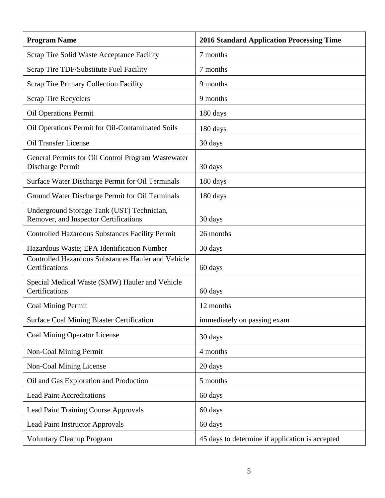| <b>Program Name</b>                                                                 | <b>2016 Standard Application Processing Time</b> |
|-------------------------------------------------------------------------------------|--------------------------------------------------|
| Scrap Tire Solid Waste Acceptance Facility                                          | 7 months                                         |
| Scrap Tire TDF/Substitute Fuel Facility                                             | 7 months                                         |
| <b>Scrap Tire Primary Collection Facility</b>                                       | 9 months                                         |
| <b>Scrap Tire Recyclers</b>                                                         | 9 months                                         |
| <b>Oil Operations Permit</b>                                                        | 180 days                                         |
| Oil Operations Permit for Oil-Contaminated Soils                                    | 180 days                                         |
| <b>Oil Transfer License</b>                                                         | 30 days                                          |
| General Permits for Oil Control Program Wastewater<br>Discharge Permit              | 30 days                                          |
| Surface Water Discharge Permit for Oil Terminals                                    | 180 days                                         |
| Ground Water Discharge Permit for Oil Terminals                                     | 180 days                                         |
| Underground Storage Tank (UST) Technician,<br>Remover, and Inspector Certifications | 30 days                                          |
| Controlled Hazardous Substances Facility Permit                                     | 26 months                                        |
| Hazardous Waste; EPA Identification Number                                          | 30 days                                          |
| <b>Controlled Hazardous Substances Hauler and Vehicle</b><br>Certifications         | 60 days                                          |
| Special Medical Waste (SMW) Hauler and Vehicle<br>Certifications                    | 60 days                                          |
| Coal Mining Permit                                                                  | 12 months                                        |
| <b>Surface Coal Mining Blaster Certification</b>                                    | immediately on passing exam                      |
| <b>Coal Mining Operator License</b>                                                 | 30 days                                          |
| Non-Coal Mining Permit                                                              | 4 months                                         |
| Non-Coal Mining License                                                             | 20 days                                          |
| Oil and Gas Exploration and Production                                              | 5 months                                         |
| <b>Lead Paint Accreditations</b>                                                    | 60 days                                          |
| <b>Lead Paint Training Course Approvals</b>                                         | 60 days                                          |
| <b>Lead Paint Instructor Approvals</b>                                              | 60 days                                          |
| <b>Voluntary Cleanup Program</b>                                                    | 45 days to determine if application is accepted  |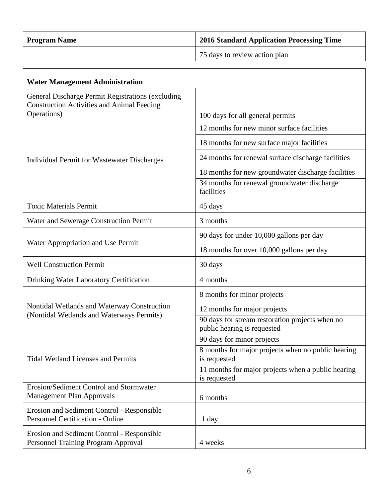| <b>Program Name</b> | 2016 Standard Application Processing Time |
|---------------------|-------------------------------------------|
|                     | 75 days to review action plan             |

| <b>Water Management Administration</b>                                                                                |                                                                                |
|-----------------------------------------------------------------------------------------------------------------------|--------------------------------------------------------------------------------|
| General Discharge Permit Registrations (excluding<br><b>Construction Activities and Animal Feeding</b><br>Operations) | 100 days for all general permits                                               |
| Individual Permit for Wastewater Discharges                                                                           | 12 months for new minor surface facilities                                     |
|                                                                                                                       | 18 months for new surface major facilities                                     |
|                                                                                                                       | 24 months for renewal surface discharge facilities                             |
|                                                                                                                       | 18 months for new groundwater discharge facilities                             |
|                                                                                                                       | 34 months for renewal groundwater discharge<br>facilities                      |
| <b>Toxic Materials Permit</b>                                                                                         | 45 days                                                                        |
| Water and Sewerage Construction Permit                                                                                | 3 months                                                                       |
|                                                                                                                       | 90 days for under 10,000 gallons per day                                       |
| Water Appropriation and Use Permit                                                                                    | 18 months for over 10,000 gallons per day                                      |
| <b>Well Construction Permit</b>                                                                                       | 30 days                                                                        |
| Drinking Water Laboratory Certification                                                                               | 4 months                                                                       |
|                                                                                                                       | 8 months for minor projects                                                    |
| Nontidal Wetlands and Waterway Construction                                                                           | 12 months for major projects                                                   |
| (Nontidal Wetlands and Waterways Permits)                                                                             | 90 days for stream restoration projects when no<br>public hearing is requested |
| <b>Tidal Wetland Licenses and Permits</b>                                                                             | 90 days for minor projects                                                     |
|                                                                                                                       | 8 months for major projects when no public hearing<br>is requested             |
|                                                                                                                       | 11 months for major projects when a public hearing<br>is requested             |
| Erosion/Sediment Control and Stormwater<br><b>Management Plan Approvals</b>                                           | 6 months                                                                       |
| Erosion and Sediment Control - Responsible<br><b>Personnel Certification - Online</b>                                 | 1 day                                                                          |
| Erosion and Sediment Control - Responsible<br>Personnel Training Program Approval                                     | 4 weeks                                                                        |